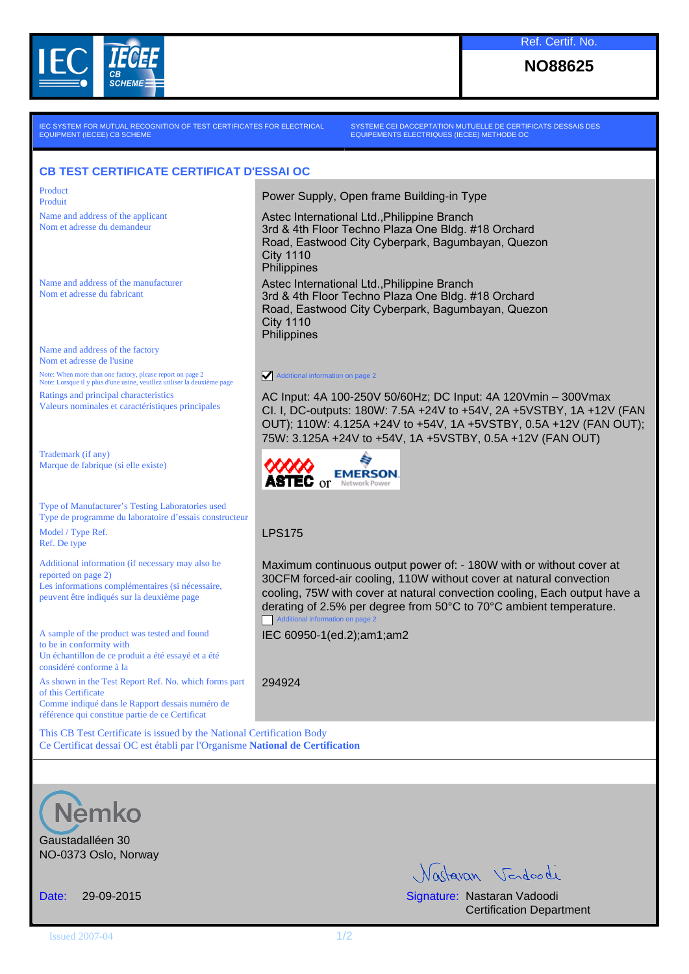

**NO88625**

IEC SYSTEM FOR MUTUAL RECOGNITION OF TEST CERTIFICATES FOR ELECTRICAL EQUIPMENT (IECEE) CB SCHEME

SYSTEME CEI DACCEPTATION MUTUELLE DE CERTIFICATS DESSAIS DES EQUIPEMENTS ELECTRIQUES (IECEE) METHODE OC

Astec International Ltd.,Philippine Branch

Astec International Ltd.,Philippine Branch

₿ **EMERSON** 

City 1110 **Philippines** 

City 1110 **Philippines** 

LPS175

294924

Additional information on page 2

**ASTEC** or **Network Po** 

Additional information on page 2

IEC 60950-1(ed.2);am1;am2

3rd & 4th Floor Techno Plaza One Bldg. #18 Orchard Road, Eastwood City Cyberpark, Bagumbayan, Quezon

3rd & 4th Floor Techno Plaza One Bldg. #18 Orchard Road, Eastwood City Cyberpark, Bagumbayan, Quezon

AC Input: 4A 100-250V 50/60Hz; DC Input: 4A 120Vmin – 300Vmax CI. I, DC-outputs: 180W: 7.5A +24V to +54V, 2A +5VSTBY, 1A +12V (FAN OUT); 110W: 4.125A +24V to +54V, 1A +5VSTBY, 0.5A +12V (FAN OUT);

75W: 3.125A +24V to +54V, 1A +5VSTBY, 0.5A +12V (FAN OUT)

Maximum continuous output power of: - 180W with or without cover at 30CFM forced-air cooling, 110W without cover at natural convection cooling, 75W with cover at natural convection cooling, Each output have a derating of 2.5% per degree from 50°C to 70°C ambient temperature.

## **CB TEST CERTIFICATE CERTIFICAT D'ESSAI OC**

Product Product Product **Product** Power Supply, Open frame Building-in Type

Name and address of the applicant Nom et adresse du demandeur

Name and address of the manufacturer Nom et adresse du fabricant

Name and address of the factory Nom et adresse de l'usine Note: When more than one factory, please report on page 2 Note: Lorsque il y plus d'une usine, veuillez utiliser la deuxième page Ratings and principal characteristics Valeurs nominales et caractéristiques principales

Trademark (if any) Marque de fabrique (si elle existe)

Type of Manufacturer's Testing Laboratories used Type de programme du laboratoire d'essais constructeur Model / Type Ref. Ref. De type

Additional information (if necessary may also be reported on page 2) Les informations complémentaires (si nécessaire, peuvent être indiqués sur la deuxième page

A sample of the product was tested and found to be in conformity with Un échantillon de ce produit a été essayé et a été considéré conforme à la

As shown in the Test Report Ref. No. which forms part of this Certificate

Comme indiqué dans le Rapport dessais numéro de référence qui constitue partie de ce Certificat

This CB Test Certificate is issued by the National Certification Body Ce Certificat dessai OC est établi par l'Organisme **National de Certification**



Gaustadalléen 30 NO-0373 Oslo, Norway

Nactavan Verdoodi

Date: 29-09-2015 Signature: Nastaran Vadoodi Certification Department